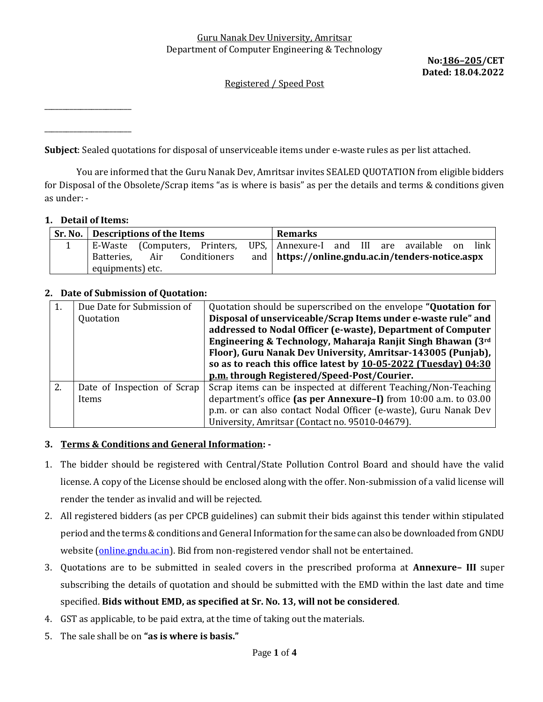**No:186–205/CET Dated: 18.04.2022**

## Registered / Speed Post

**Subject**: Sealed quotations for disposal of unserviceable items under e-waste rules as per list attached.

You are informed that the Guru Nanak Dev, Amritsar invites SEALED QUOTATION from eligible bidders for Disposal of the Obsolete/Scrap items "as is where is basis" as per the details and terms & conditions given as under: -

### **1. Detail of Items:**

\_\_\_\_\_\_\_\_\_\_\_\_\_\_\_\_\_\_\_\_\_\_\_\_

\_\_\_\_\_\_\_\_\_\_\_\_\_\_\_\_\_\_\_\_\_\_\_\_

| Sr. No.   Descriptions of the Items |                     |  |  |                                                     | <b>Remarks</b>                                                         |  |  |  |  |      |
|-------------------------------------|---------------------|--|--|-----------------------------------------------------|------------------------------------------------------------------------|--|--|--|--|------|
|                                     |                     |  |  |                                                     | E-Waste (Computers, Printers, UPS, Annexure-I and III are available on |  |  |  |  | link |
| Batteries.<br>equipments) etc.      | Conditioners<br>Air |  |  | and   https://online.gndu.ac.in/tenders-notice.aspx |                                                                        |  |  |  |  |      |

## **2. Date of Submission of Quotation:**

| 1. | Due Date for Submission of  | Quotation should be superscribed on the envelope "Quotation for  |  |  |  |  |
|----|-----------------------------|------------------------------------------------------------------|--|--|--|--|
|    | Quotation                   | Disposal of unserviceable/Scrap Items under e-waste rule" and    |  |  |  |  |
|    |                             | addressed to Nodal Officer (e-waste), Department of Computer     |  |  |  |  |
|    |                             | Engineering & Technology, Maharaja Ranjit Singh Bhawan (3rd      |  |  |  |  |
|    |                             | Floor), Guru Nanak Dev University, Amritsar-143005 (Punjab),     |  |  |  |  |
|    |                             | so as to reach this office latest by 10-05-2022 (Tuesday) 04:30  |  |  |  |  |
|    |                             | p.m. through Registered/Speed-Post/Courier.                      |  |  |  |  |
| 2. | Date of Inspection of Scrap | Scrap items can be inspected at different Teaching/Non-Teaching  |  |  |  |  |
|    | Items                       | department's office (as per Annexure-I) from 10:00 a.m. to 03.00 |  |  |  |  |
|    |                             | p.m. or can also contact Nodal Officer (e-waste), Guru Nanak Dev |  |  |  |  |
|    |                             | University, Amritsar (Contact no. 95010-04679).                  |  |  |  |  |

### **3. Terms & Conditions and General Information: -**

- 1. The bidder should be registered with Central/State Pollution Control Board and should have the valid license. A copy of the License should be enclosed along with the offer. Non-submission of a valid license will render the tender as invalid and will be rejected.
- 2. All registered bidders (as per CPCB guidelines) can submit their bids against this tender within stipulated period and the terms & conditions and General Information for the same can also be downloaded from GNDU website [\(online.gndu.ac.in\)](http://www.gndu.ac.in/). Bid from non-registered vendor shall not be entertained.
- 3. Quotations are to be submitted in sealed covers in the prescribed proforma at **Annexure– III** super subscribing the details of quotation and should be submitted with the EMD within the last date and time specified. **Bids without EMD, as specified at Sr. No. 13, will not be considered**.
- 4. GST as applicable, to be paid extra, at the time of taking out the materials.
- 5. The sale shall be on **"as is where is basis."**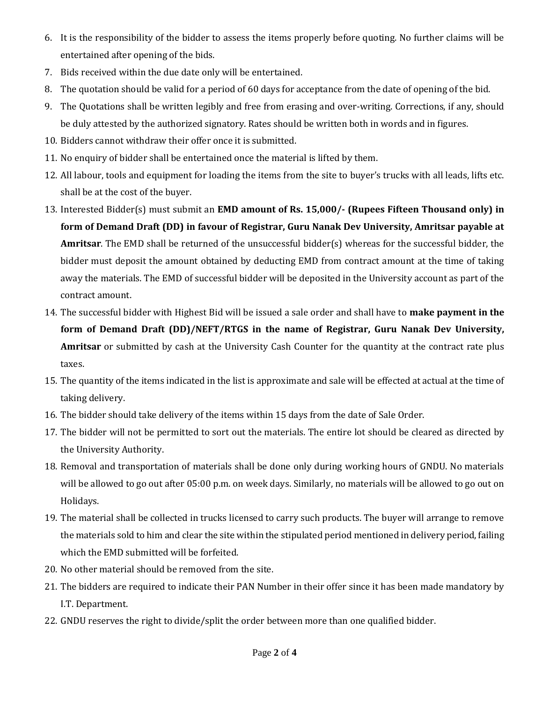- 6. It is the responsibility of the bidder to assess the items properly before quoting. No further claims will be entertained after opening of the bids.
- 7. Bids received within the due date only will be entertained.
- 8. The quotation should be valid for a period of 60 days for acceptance from the date of opening of the bid.
- 9. The Quotations shall be written legibly and free from erasing and over-writing. Corrections, if any, should be duly attested by the authorized signatory. Rates should be written both in words and in figures.
- 10. Bidders cannot withdraw their offer once it is submitted.
- 11. No enquiry of bidder shall be entertained once the material is lifted by them.
- 12. All labour, tools and equipment for loading the items from the site to buyer's trucks with all leads, lifts etc. shall be at the cost of the buyer.
- 13. Interested Bidder(s) must submit an **EMD amount of Rs. 15,000/- (Rupees Fifteen Thousand only) in form of Demand Draft (DD) in favour of Registrar, Guru Nanak Dev University, Amritsar payable at Amritsar**. The EMD shall be returned of the unsuccessful bidder(s) whereas for the successful bidder, the bidder must deposit the amount obtained by deducting EMD from contract amount at the time of taking away the materials. The EMD of successful bidder will be deposited in the University account as part of the contract amount.
- 14. The successful bidder with Highest Bid will be issued a sale order and shall have to **make payment in the form of Demand Draft (DD)/NEFT/RTGS in the name of Registrar, Guru Nanak Dev University, Amritsar** or submitted by cash at the University Cash Counter for the quantity at the contract rate plus taxes.
- 15. The quantity of the items indicated in the list is approximate and sale will be effected at actual at the time of taking delivery.
- 16. The bidder should take delivery of the items within 15 days from the date of Sale Order.
- 17. The bidder will not be permitted to sort out the materials. The entire lot should be cleared as directed by the University Authority.
- 18. Removal and transportation of materials shall be done only during working hours of GNDU. No materials will be allowed to go out after 05:00 p.m. on week days. Similarly, no materials will be allowed to go out on Holidays.
- 19. The material shall be collected in trucks licensed to carry such products. The buyer will arrange to remove the materials sold to him and clear the site within the stipulated period mentioned in delivery period, failing which the EMD submitted will be forfeited.
- 20. No other material should be removed from the site.
- 21. The bidders are required to indicate their PAN Number in their offer since it has been made mandatory by I.T. Department.
- 22. GNDU reserves the right to divide/split the order between more than one qualified bidder.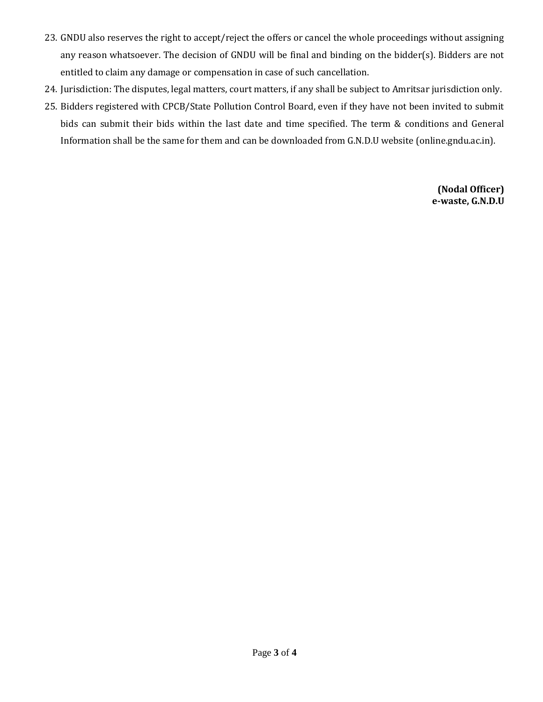- 23. GNDU also reserves the right to accept/reject the offers or cancel the whole proceedings without assigning any reason whatsoever. The decision of GNDU will be final and binding on the bidder(s). Bidders are not entitled to claim any damage or compensation in case of such cancellation.
- 24. Jurisdiction: The disputes, legal matters, court matters, if any shall be subject to Amritsar jurisdiction only.
- 25. Bidders registered with CPCB/State Pollution Control Board, even if they have not been invited to submit bids can submit their bids within the last date and time specified. The term & conditions and General Information shall be the same for them and can be downloaded from G.N.D.U website (online.gndu.ac.in).

**(Nodal Officer) e-waste, G.N.D.U**